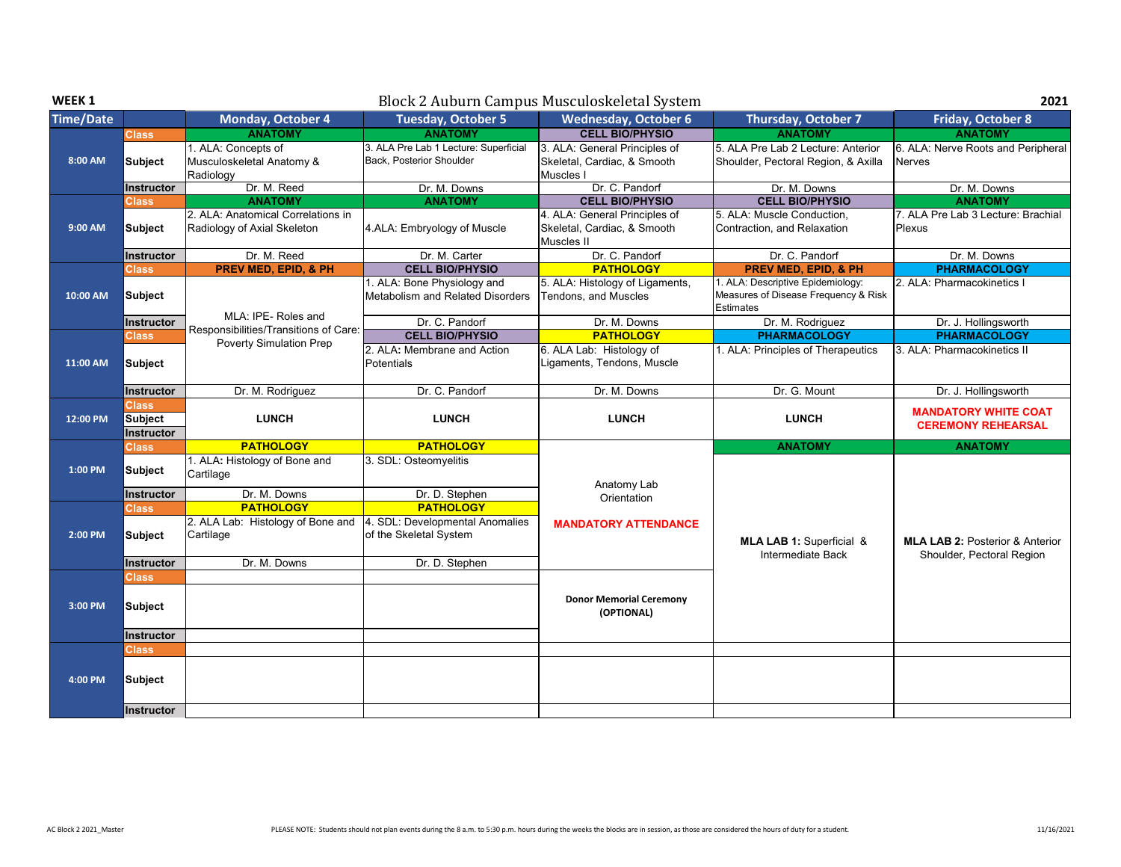| WEEK <sub>1</sub> |                                              |                                                                   |                                                                   | Block 2 Auburn Campus Musculoskeletal System                               |                                                                                               | 2021                                                |
|-------------------|----------------------------------------------|-------------------------------------------------------------------|-------------------------------------------------------------------|----------------------------------------------------------------------------|-----------------------------------------------------------------------------------------------|-----------------------------------------------------|
| <b>Time/Date</b>  |                                              | Monday, October 4                                                 | <b>Tuesday, October 5</b>                                         | <b>Wednesday, October 6</b>                                                | Thursday, October 7                                                                           | Friday, October 8                                   |
|                   | <b>Class</b>                                 | <b>ANATOMY</b>                                                    | <b>ANATOMY</b>                                                    | <b>CELL BIO/PHYSIO</b>                                                     | <b>ANATOMY</b>                                                                                | <b>ANATOMY</b>                                      |
| 8:00 AM           | Subject                                      | 1. ALA: Concepts of<br>Musculoskeletal Anatomy &<br>Radiology     | 3. ALA Pre Lab 1 Lecture: Superficial<br>Back, Posterior Shoulder | 3. ALA: General Principles of<br>Skeletal, Cardiac, & Smooth<br>Muscles I  | 5. ALA Pre Lab 2 Lecture: Anterior<br>Shoulder, Pectoral Region, & Axilla                     | 6. ALA: Nerve Roots and Peripheral<br><b>Nerves</b> |
|                   | Instructor                                   | Dr. M. Reed                                                       | Dr. M. Downs                                                      | Dr. C. Pandorf                                                             | Dr. M. Downs                                                                                  | Dr. M. Downs                                        |
|                   | <b>Class</b>                                 | <b>ANATOMY</b>                                                    | <b>ANATOMY</b>                                                    | <b>CELL BIO/PHYSIO</b>                                                     | <b>CELL BIO/PHYSIO</b>                                                                        | <b>ANATOMY</b>                                      |
| 9:00 AM           | <b>Subject</b>                               | 2. ALA: Anatomical Correlations in<br>Radiology of Axial Skeleton | 4.ALA: Embryology of Muscle                                       | 4. ALA: General Principles of<br>Skeletal, Cardiac, & Smooth<br>Muscles II | 5. ALA: Muscle Conduction,<br>Contraction, and Relaxation                                     | 7. ALA Pre Lab 3 Lecture: Brachial<br><b>Plexus</b> |
|                   | <b>Instructor</b>                            | Dr. M. Reed                                                       | Dr. M. Carter                                                     | Dr. C. Pandorf                                                             | Dr. C. Pandorf                                                                                | Dr. M. Downs                                        |
|                   | Class                                        | <b>PREV MED, EPID, &amp; PH</b>                                   | <b>CELL BIO/PHYSIO</b>                                            | <b>PATHOLOGY</b>                                                           | <b>PREV MED, EPID, &amp; PH</b>                                                               | <b>PHARMACOLOGY</b>                                 |
| 10:00 AM          | Subject                                      | MLA: IPE-Roles and                                                | 1. ALA: Bone Physiology and<br>Metabolism and Related Disorders   | 5. ALA: Histology of Ligaments,<br>Tendons, and Muscles                    | 1. ALA: Descriptive Epidemiology:<br>Measures of Disease Frequency & Risk<br><b>Estimates</b> | 2. ALA: Pharmacokinetics I                          |
|                   | Instructor                                   | Responsibilities/Transitions of Care:                             | Dr. C. Pandorf                                                    | Dr. M. Downs                                                               | Dr. M. Rodriguez                                                                              | Dr. J. Hollingsworth                                |
|                   | <b>Class</b>                                 | <b>Poverty Simulation Prep</b>                                    | <b>CELL BIO/PHYSIO</b>                                            | <b>PATHOLOGY</b>                                                           | <b>PHARMACOLOGY</b>                                                                           | <b>PHARMACOLOGY</b>                                 |
| 11:00 AM          | Subject                                      |                                                                   | 2. ALA: Membrane and Action<br>Potentials                         | 6. ALA Lab: Histology of<br>Ligaments, Tendons, Muscle                     | 1. ALA: Principles of Therapeutics                                                            | 3. ALA: Pharmacokinetics II                         |
|                   | Instructor                                   | Dr. M. Rodriguez                                                  | Dr. C. Pandorf                                                    | Dr. M. Downs                                                               | Dr. G. Mount                                                                                  | Dr. J. Hollingsworth                                |
|                   | <b>Class</b>                                 |                                                                   |                                                                   |                                                                            |                                                                                               | <b>MANDATORY WHITE COAT</b>                         |
| 12:00 PM          | <b>Subject</b><br><b>Instructor</b>          | <b>LUNCH</b>                                                      | <b>LUNCH</b>                                                      | <b>LUNCH</b>                                                               | <b>LUNCH</b>                                                                                  | <b>CEREMONY REHEARSAL</b>                           |
|                   | <b>Class</b>                                 | <b>PATHOLOGY</b>                                                  | <b>PATHOLOGY</b>                                                  |                                                                            | <b>ANATOMY</b>                                                                                | <b>ANATOMY</b>                                      |
| 1:00 PM           | <b>Subject</b>                               | 1. ALA: Histology of Bone and<br>Cartilage                        | 3. SDL: Osteomyelitis                                             |                                                                            |                                                                                               |                                                     |
|                   | <b>Instructor</b>                            | Dr. M. Downs                                                      | Dr. D. Stephen                                                    | Anatomy Lab<br>Orientation                                                 |                                                                                               |                                                     |
|                   | <b>Class</b>                                 | <b>PATHOLOGY</b>                                                  | <b>PATHOLOGY</b>                                                  |                                                                            |                                                                                               |                                                     |
| 2:00 PM           | Subject                                      | 2. ALA Lab: Histology of Bone and<br>Cartilage                    | 4. SDL: Developmental Anomalies<br>of the Skeletal System         | <b>MANDATORY ATTENDANCE</b>                                                | MLA LAB 1: Superficial &                                                                      | <b>MLA LAB 2: Posterior &amp; Anterior</b>          |
|                   | <b>Instructor</b>                            | Dr. M. Downs                                                      | Dr. D. Stephen                                                    |                                                                            | Intermediate Back                                                                             | Shoulder, Pectoral Region                           |
| 3:00 PM           | <b>Class</b><br>Subject                      |                                                                   |                                                                   | <b>Donor Memorial Ceremony</b><br>(OPTIONAL)                               |                                                                                               |                                                     |
|                   | <b>Instructor</b>                            |                                                                   |                                                                   |                                                                            |                                                                                               |                                                     |
| 4:00 PM           | <b>Class</b><br>Subject<br><b>Instructor</b> |                                                                   |                                                                   |                                                                            |                                                                                               |                                                     |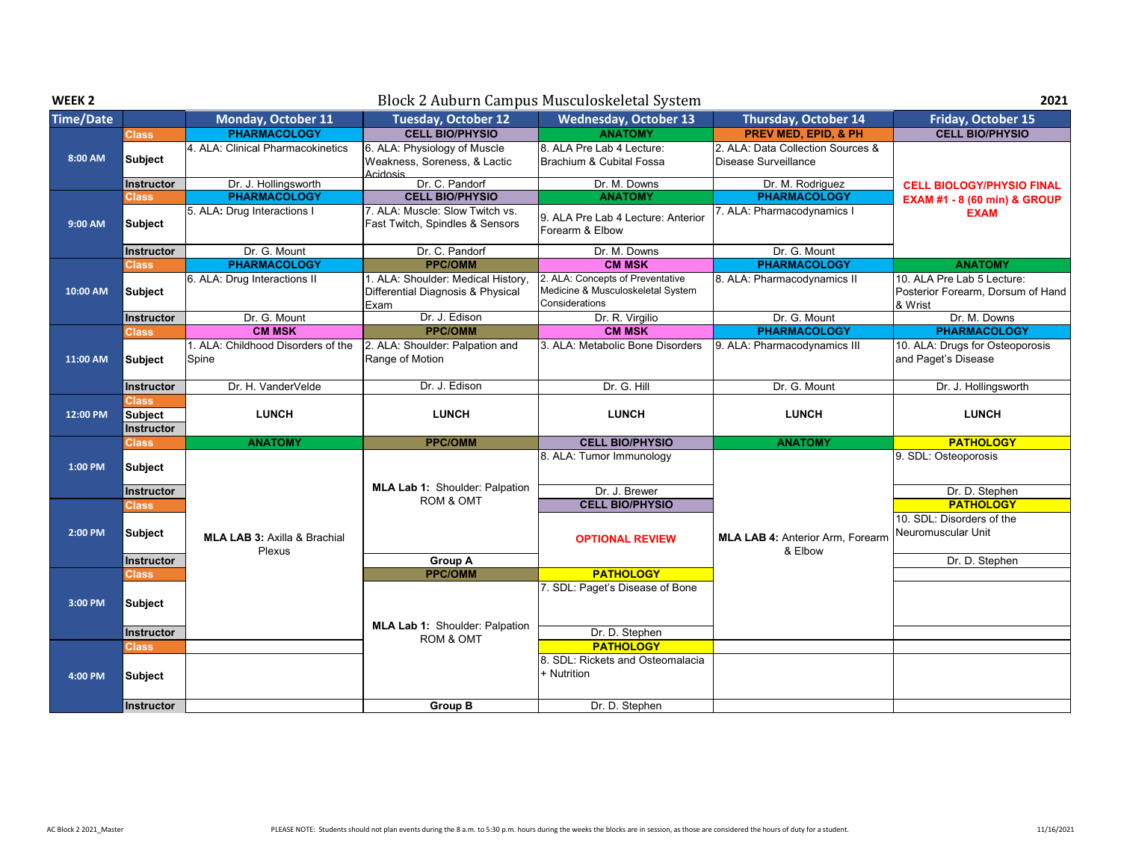| WEEK 2           |                                              |                                                   |                                                                                 | Block 2 Auburn Campus Musculoskeletal System                                            |                                                           | 2021                                                                       |  |
|------------------|----------------------------------------------|---------------------------------------------------|---------------------------------------------------------------------------------|-----------------------------------------------------------------------------------------|-----------------------------------------------------------|----------------------------------------------------------------------------|--|
| <b>Time/Date</b> |                                              | Monday, October 11                                | <b>Tuesday, October 12</b>                                                      | <b>Wednesday, October 13</b>                                                            | Thursday, October 14                                      | Friday, October 15                                                         |  |
|                  | Class                                        | <b>PHARMACOLOGY</b>                               | <b>CELL BIO/PHYSIO</b>                                                          | <b>ANATOMY</b>                                                                          | <b>PREV MED. EPID. &amp; PH</b>                           | <b>CELL BIO/PHYSIO</b>                                                     |  |
| 8:00 AM          | <b>Subject</b>                               | 4. ALA: Clinical Pharmacokinetics                 | 6. ALA: Physiology of Muscle<br>Weakness, Soreness, & Lactic<br>Acidosis        | 8. ALA Pre Lab 4 Lecture:<br>Brachium & Cubital Fossa                                   | 2. ALA: Data Collection Sources &<br>Disease Surveillance |                                                                            |  |
|                  | Instructor                                   | Dr. J. Hollingsworth                              | Dr. C. Pandorf                                                                  | Dr. M. Downs                                                                            | Dr. M. Rodriguez                                          | <b>CELL BIOLOGY/PHYSIO FINAL</b>                                           |  |
|                  | Class                                        | <b>PHARMACOLOGY</b>                               | <b>CELL BIO/PHYSIO</b>                                                          | <b>ANATOMY</b>                                                                          | <b>PHARMACOLOGY</b>                                       | <b>EXAM #1 - 8 (60 min) &amp; GROUP</b>                                    |  |
| 9:00 AM          | <b>Subject</b>                               | 5. ALA: Drug Interactions I                       | 7. ALA: Muscle: Slow Twitch vs.<br>Fast Twitch, Spindles & Sensors              | 9. ALA Pre Lab 4 Lecture: Anterior<br>Forearm & Elbow                                   | 7. ALA: Pharmacodynamics I                                | <b>EXAM</b>                                                                |  |
|                  | <b>Instructor</b>                            | Dr. G. Mount                                      | Dr. C. Pandorf                                                                  | Dr. M. Downs                                                                            | Dr. G. Mount                                              |                                                                            |  |
|                  | Class                                        | <b>PHARMACOLOGY</b>                               | <b>PPC/OMM</b>                                                                  | <b>CM MSK</b>                                                                           | <b>PHARMACOLOGY</b>                                       | <b>ANATOMY</b>                                                             |  |
| 10:00 AM         | Subject                                      | 6. ALA: Drug Interactions II                      | 1. ALA: Shoulder: Medical History,<br>Differential Diagnosis & Physical<br>Exam | 2. ALA: Concepts of Preventative<br>Medicine & Musculoskeletal System<br>Considerations | 8. ALA: Pharmacodynamics II                               | 10. ALA Pre Lab 5 Lecture:<br>Posterior Forearm, Dorsum of Hand<br>& Wrist |  |
|                  | Instructor                                   | Dr. G. Mount                                      | Dr. J. Edison                                                                   | Dr. R. Virgilio                                                                         | Dr. G. Mount                                              | Dr. M. Downs                                                               |  |
|                  | Class                                        | <b>CM MSK</b>                                     | <b>PPC/OMM</b>                                                                  | <b>CM MSK</b>                                                                           | <b>PHARMACOLOGY</b>                                       | <b>PHARMACOLOGY</b>                                                        |  |
| 11:00 AM         | <b>Subject</b>                               | 1. ALA: Childhood Disorders of the<br>Spine       | 2. ALA: Shoulder: Palpation and<br>Range of Motion                              | 3. ALA: Metabolic Bone Disorders                                                        | 9. ALA: Pharmacodynamics III                              | 10. ALA: Drugs for Osteoporosis<br>and Paget's Disease                     |  |
|                  | Instructor                                   | Dr. H. VanderVelde                                | Dr. J. Edison                                                                   | Dr. G. Hill                                                                             | Dr. G. Mount                                              | Dr. J. Hollingsworth                                                       |  |
| 12:00 PM         | <b>Class</b><br><b>Subject</b><br>Instructor | <b>LUNCH</b>                                      | <b>LUNCH</b>                                                                    | <b>LUNCH</b>                                                                            | <b>LUNCH</b>                                              | <b>LUNCH</b>                                                               |  |
|                  | Class                                        | <b>ANATOMY</b>                                    | <b>PPC/OMM</b>                                                                  | <b>CELL BIO/PHYSIO</b>                                                                  | <b>ANATOMY</b>                                            | <b>PATHOLOGY</b>                                                           |  |
| 1:00 PM          | Subject<br><b>Instructor</b>                 |                                                   | MLA Lab 1: Shoulder: Palpation                                                  | 8. ALA: Tumor Immunology<br>Dr. J. Brewer                                               |                                                           | 9. SDL: Osteoporosis<br>Dr. D. Stephen                                     |  |
|                  | Class                                        |                                                   | <b>ROM &amp; OMT</b>                                                            | <b>CELL BIO/PHYSIO</b>                                                                  |                                                           | <b>PATHOLOGY</b>                                                           |  |
| 2:00 PM          | <b>Subject</b>                               | <b>MLA LAB 3: Axilla &amp; Brachial</b><br>Plexus |                                                                                 | <b>OPTIONAL REVIEW</b>                                                                  | <b>MLA LAB 4: Anterior Arm, Forearm</b><br>& Elbow        | 10. SDL: Disorders of the<br>Neuromuscular Unit                            |  |
|                  | Instructor                                   |                                                   | <b>Group A</b>                                                                  |                                                                                         |                                                           | Dr. D. Stephen                                                             |  |
|                  | Class                                        |                                                   | <b>PPC/OMM</b>                                                                  | <b>PATHOLOGY</b>                                                                        |                                                           |                                                                            |  |
| 3:00 PM          |                                              |                                                   |                                                                                 | 7. SDL: Paget's Disease of Bone                                                         |                                                           |                                                                            |  |
|                  | <b>Subject</b>                               |                                                   |                                                                                 |                                                                                         |                                                           |                                                                            |  |
|                  | Instructor                                   |                                                   | MLA Lab 1: Shoulder: Palpation                                                  | Dr. D. Stephen                                                                          |                                                           |                                                                            |  |
|                  | Class                                        |                                                   | <b>ROM &amp; OMT</b>                                                            | <b>PATHOLOGY</b>                                                                        |                                                           |                                                                            |  |
| 4:00 PM          | <b>Subject</b>                               |                                                   |                                                                                 | 8. SDL: Rickets and Osteomalacia<br>+ Nutrition                                         |                                                           |                                                                            |  |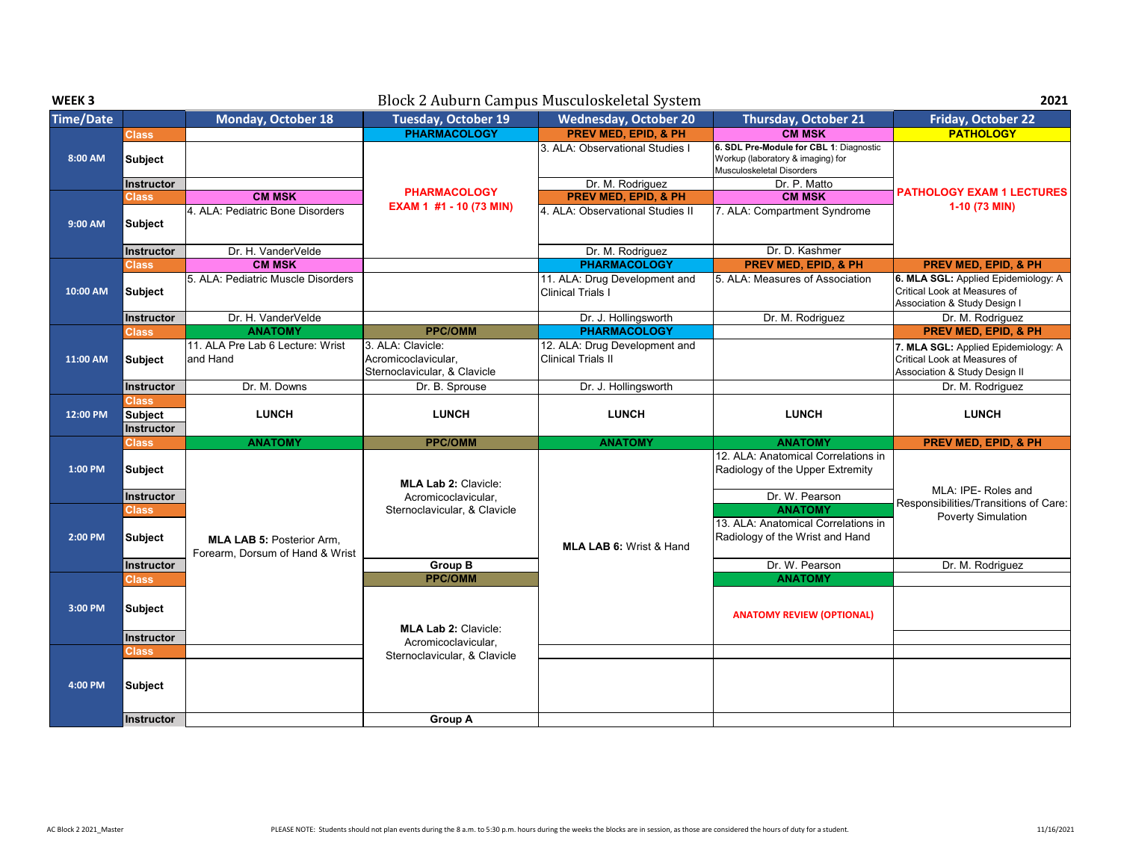| WEEK <sub>3</sub> |                                |                                                                     |                                                                          | Block 2 Auburn Campus Musculoskeletal System               |                                                                                                           | 2021                                                                                                 |
|-------------------|--------------------------------|---------------------------------------------------------------------|--------------------------------------------------------------------------|------------------------------------------------------------|-----------------------------------------------------------------------------------------------------------|------------------------------------------------------------------------------------------------------|
| <b>Time/Date</b>  |                                | Monday, October 18                                                  | <b>Tuesday, October 19</b>                                               | <b>Wednesday, October 20</b>                               | <b>Thursday, October 21</b>                                                                               | <b>Friday, October 22</b>                                                                            |
|                   | <b>Class</b>                   |                                                                     | <b>PHARMACOLOGY</b>                                                      | <b>PREV MED. EPID. &amp; PH</b>                            | <b>CM MSK</b>                                                                                             | <b>PATHOLOGY</b>                                                                                     |
| 8:00 AM           | Subject                        |                                                                     |                                                                          | 3. ALA: Observational Studies I                            | 6. SDL Pre-Module for CBL 1: Diagnostic<br>Workup (laboratory & imaging) for<br>Musculoskeletal Disorders |                                                                                                      |
|                   | Instructor                     |                                                                     | <b>PHARMACOLOGY</b>                                                      | Dr. M. Rodriguez                                           | Dr. P. Matto                                                                                              | <b>PATHOLOGY EXAM 1 LECTURES</b>                                                                     |
|                   | <b>Class</b>                   | <b>CM MSK</b>                                                       | EXAM 1 #1 - 10 (73 MIN)                                                  | <b>PREV MED, EPID, &amp; PH</b>                            | <b>CM MSK</b>                                                                                             | 1-10 (73 MIN)                                                                                        |
| 9:00 AM           | <b>Subject</b>                 | 4. ALA: Pediatric Bone Disorders                                    |                                                                          | 4. ALA: Observational Studies II                           | 7. ALA: Compartment Syndrome                                                                              |                                                                                                      |
|                   | Instructor                     | Dr. H. VanderVelde                                                  |                                                                          | Dr. M. Rodriguez                                           | Dr. D. Kashmer                                                                                            |                                                                                                      |
|                   | <b>Class</b>                   | <b>CM MSK</b>                                                       |                                                                          | <b>PHARMACOLOGY</b>                                        | <b>PREV MED, EPID, &amp; PH</b>                                                                           | <b>PREV MED, EPID, &amp; PH</b>                                                                      |
| 10:00 AM          | <b>Subject</b>                 | 5. ALA: Pediatric Muscle Disorders                                  |                                                                          | 11. ALA: Drug Development and<br>Clinical Trials I         | 5. ALA: Measures of Association                                                                           | 6. MLA SGL: Applied Epidemiology: A<br>Critical Look at Measures of<br>Association & Study Design I  |
|                   | Instructor                     | Dr. H. VanderVelde                                                  |                                                                          | Dr. J. Hollingsworth                                       | Dr. M. Rodriguez                                                                                          | Dr. M. Rodriguez                                                                                     |
|                   | <b>Class</b>                   | <b>ANATOMY</b>                                                      | <b>PPC/OMM</b>                                                           | <b>PHARMACOLOGY</b>                                        |                                                                                                           | <b>PREV MED, EPID, &amp; PH</b>                                                                      |
| 11:00 AM          | <b>Subject</b>                 | 11. ALA Pre Lab 6 Lecture: Wrist<br>and Hand                        | 3. ALA: Clavicle:<br>Acromicoclavicular.<br>Sternoclavicular, & Clavicle | 12. ALA: Drug Development and<br><b>Clinical Trials II</b> |                                                                                                           | 7. MLA SGL: Applied Epidemiology: A<br>Critical Look at Measures of<br>Association & Study Design II |
|                   | Instructor                     | Dr. M. Downs                                                        | Dr. B. Sprouse                                                           | Dr. J. Hollingsworth                                       |                                                                                                           | Dr. M. Rodriguez                                                                                     |
|                   | <b>Class</b>                   |                                                                     |                                                                          |                                                            |                                                                                                           |                                                                                                      |
| 12:00 PM          | <b>Subject</b><br>Instructor   | <b>LUNCH</b>                                                        | <b>LUNCH</b>                                                             | <b>LUNCH</b>                                               | <b>LUNCH</b>                                                                                              | <b>LUNCH</b>                                                                                         |
|                   | <b>Class</b>                   | <b>ANATOMY</b>                                                      | <b>PPC/OMM</b>                                                           | <b>ANATOMY</b>                                             | <b>ANATOMY</b>                                                                                            | PREV MED, EPID, & PH                                                                                 |
| 1:00 PM           | <b>Subject</b><br>Instructor   |                                                                     | <b>MLA Lab 2: Clavicle:</b><br>Acromicoclavicular,                       |                                                            | 12. ALA: Anatomical Correlations in<br>Radiology of the Upper Extremity<br>Dr. W. Pearson                 | MLA: IPE-Roles and                                                                                   |
| 2:00 PM           | <b>Class</b><br><b>Subject</b> | <b>MLA LAB 5: Posterior Arm.</b><br>Forearm, Dorsum of Hand & Wrist | Sternoclavicular, & Clavicle                                             | <b>MLA LAB 6: Wrist &amp; Hand</b>                         | <b>ANATOMY</b><br>13. ALA: Anatomical Correlations in<br>Radiology of the Wrist and Hand                  | Responsibilities/Transitions of Care:<br><b>Poverty Simulation</b>                                   |
|                   | Instructor                     |                                                                     | <b>Group B</b>                                                           |                                                            | Dr. W. Pearson                                                                                            | Dr. M. Rodriguez                                                                                     |
|                   | <b>Class</b>                   |                                                                     | <b>PPC/OMM</b>                                                           |                                                            | <b>ANATOMY</b>                                                                                            |                                                                                                      |
| 3:00 PM           | <b>Subject</b>                 |                                                                     | <b>MLA Lab 2: Clavicle:</b>                                              |                                                            | <b>ANATOMY REVIEW (OPTIONAL)</b>                                                                          |                                                                                                      |
|                   | Instructor                     |                                                                     | Acromicoclavicular.                                                      |                                                            |                                                                                                           |                                                                                                      |
|                   | Class                          |                                                                     | Sternoclavicular, & Clavicle                                             |                                                            |                                                                                                           |                                                                                                      |
| 4:00 PM           | <b>Subject</b>                 |                                                                     |                                                                          |                                                            |                                                                                                           |                                                                                                      |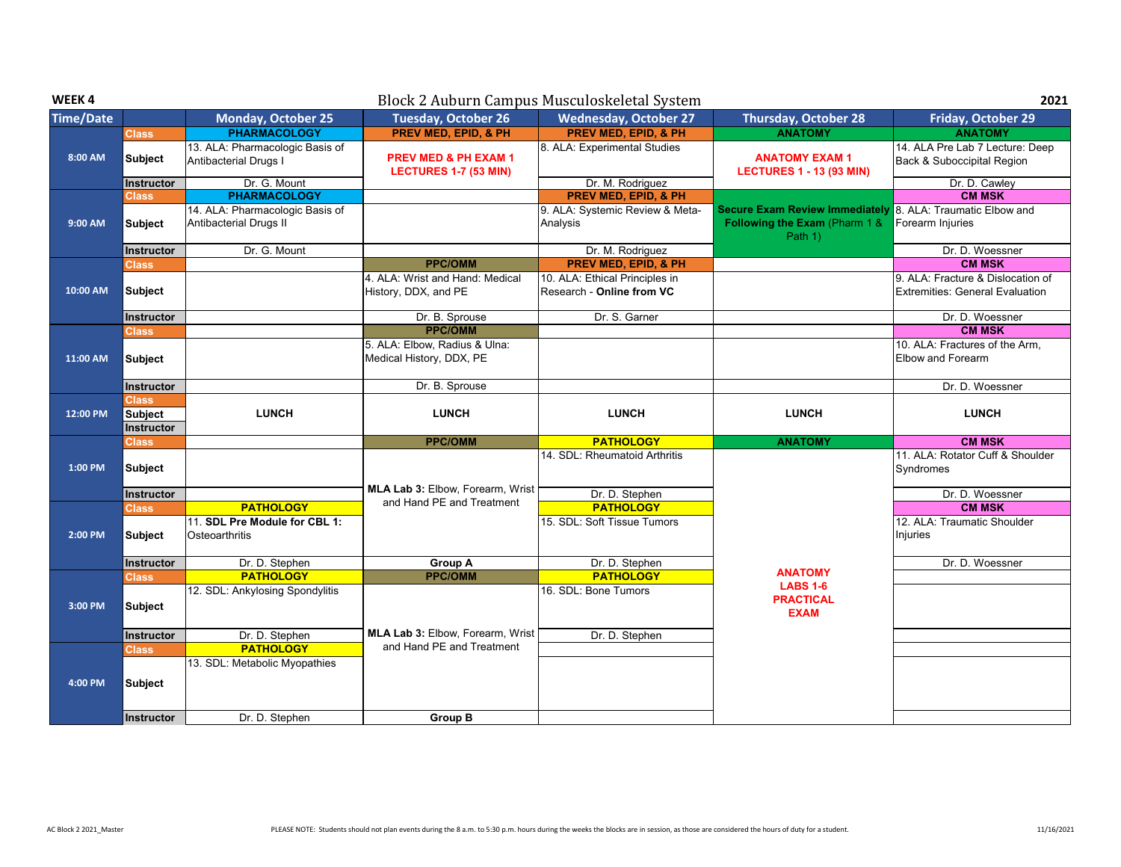| WEEK4            |                                              |                                                                     |                                                                 | Block 2 Auburn Campus Musculoskeletal System                |                                                                                                        | 2021                                                                        |
|------------------|----------------------------------------------|---------------------------------------------------------------------|-----------------------------------------------------------------|-------------------------------------------------------------|--------------------------------------------------------------------------------------------------------|-----------------------------------------------------------------------------|
| <b>Time/Date</b> |                                              | <b>Monday, October 25</b>                                           | <b>Tuesday, October 26</b>                                      | <b>Wednesday, October 27</b>                                | <b>Thursday, October 28</b>                                                                            | Friday, October 29                                                          |
|                  | <b>Class</b>                                 | <b>PHARMACOLOGY</b>                                                 | <b>PREV MED, EPID, &amp; PH</b>                                 | <b>PREV MED, EPID, &amp; PH</b>                             | <b>ANATOMY</b>                                                                                         | <b>ANATOMY</b>                                                              |
| 8:00 AM          | Subject                                      | 13. ALA: Pharmacologic Basis of<br>Antibacterial Drugs I            | <b>PREV MED &amp; PH EXAM 1</b><br><b>LECTURES 1-7 (53 MIN)</b> | 8. ALA: Experimental Studies                                | <b>ANATOMY EXAM1</b><br><b>LECTURES 1 - 13 (93 MIN)</b>                                                | 14. ALA Pre Lab 7 Lecture: Deep<br>Back & Suboccipital Region               |
|                  | <b>Instructor</b>                            | Dr. G. Mount                                                        |                                                                 | Dr. M. Rodriguez                                            |                                                                                                        | Dr. D. Cawley                                                               |
|                  | <b>Class</b>                                 | <b>PHARMACOLOGY</b>                                                 |                                                                 | <b>PREV MED, EPID, &amp; PH</b>                             |                                                                                                        | <b>CM MSK</b>                                                               |
| 9:00 AM          | <b>Subject</b>                               | 14. ALA: Pharmacologic Basis of<br>Antibacterial Drugs II           |                                                                 | 9. ALA: Systemic Review & Meta-<br>Analysis                 | Secure Exam Review Immediately 8. ALA: Traumatic Elbow and<br>Following the Exam (Pharm 1 &<br>Path 1) | Forearm Injuries                                                            |
|                  | Instructor                                   | Dr. G. Mount                                                        |                                                                 | Dr. M. Rodriguez                                            |                                                                                                        | Dr. D. Woessner                                                             |
|                  | <b>Class</b>                                 |                                                                     | <b>PPC/OMM</b>                                                  | <b>PREV MED, EPID, &amp; PH</b>                             |                                                                                                        | <b>CM MSK</b>                                                               |
| 10:00 AM         | Subject                                      |                                                                     | 4. ALA: Wrist and Hand: Medical<br>History, DDX, and PE         | 10. ALA: Ethical Principles in<br>Research - Online from VC |                                                                                                        | 9. ALA: Fracture & Dislocation of<br><b>Extremities: General Evaluation</b> |
|                  | Instructor                                   |                                                                     | Dr. B. Sprouse                                                  | Dr. S. Garner                                               |                                                                                                        | Dr. D. Woessner                                                             |
|                  | <b>Class</b>                                 |                                                                     | <b>PPC/OMM</b>                                                  |                                                             |                                                                                                        | <b>CM MSK</b>                                                               |
| 11:00 AM         | Subject                                      |                                                                     | 5. ALA: Elbow, Radius & Ulna:<br>Medical History, DDX, PE       |                                                             |                                                                                                        | 10. ALA: Fractures of the Arm,<br>Elbow and Forearm                         |
|                  | Instructor                                   |                                                                     | Dr. B. Sprouse                                                  |                                                             |                                                                                                        | Dr. D. Woessner                                                             |
| 12:00 PM         | <b>Class</b><br><b>Subject</b><br>Instructor | <b>LUNCH</b>                                                        | <b>LUNCH</b>                                                    | <b>LUNCH</b>                                                | <b>LUNCH</b>                                                                                           | <b>LUNCH</b>                                                                |
|                  | <b>Class</b>                                 |                                                                     | <b>PPC/OMM</b>                                                  | <b>PATHOLOGY</b>                                            | <b>ANATOMY</b>                                                                                         | <b>CM MSK</b>                                                               |
| 1:00 PM          | <b>Subject</b>                               |                                                                     | <b>MLA Lab 3: Elbow, Forearm, Wrist</b>                         | 14. SDL: Rheumatoid Arthritis                               |                                                                                                        | 11. ALA: Rotator Cuff & Shoulder<br>Syndromes                               |
|                  | Instructor                                   |                                                                     | and Hand PE and Treatment                                       | Dr. D. Stephen                                              |                                                                                                        | Dr. D. Woessner                                                             |
| 2:00 PM          | <b>Class</b><br><b>Subject</b>               | <b>PATHOLOGY</b><br>11. SDL Pre Module for CBL 1:<br>Osteoarthritis |                                                                 | <b>PATHOLOGY</b><br>15. SDL: Soft Tissue Tumors             |                                                                                                        | <b>CM MSK</b><br>12. ALA: Traumatic Shoulder<br>Injuries                    |
|                  | Instructor                                   | Dr. D. Stephen                                                      | <b>Group A</b>                                                  | Dr. D. Stephen                                              |                                                                                                        | Dr. D. Woessner                                                             |
|                  | <b>Class</b>                                 | <b>PATHOLOGY</b>                                                    | <b>PPC/OMM</b>                                                  | <b>PATHOLOGY</b>                                            | <b>ANATOMY</b>                                                                                         |                                                                             |
| 3:00 PM          | <b>Subject</b>                               | 12. SDL: Ankylosing Spondylitis                                     |                                                                 | 16. SDL: Bone Tumors                                        | <b>LABS 1-6</b><br><b>PRACTICAL</b><br><b>EXAM</b>                                                     |                                                                             |
|                  | Instructor                                   | Dr. D. Stephen                                                      | MLA Lab 3: Elbow, Forearm, Wrist                                | Dr. D. Stephen                                              |                                                                                                        |                                                                             |
|                  | <b>Class</b>                                 | <b>PATHOLOGY</b>                                                    | and Hand PE and Treatment                                       |                                                             |                                                                                                        |                                                                             |
| 4:00 PM          | Subject                                      | 13. SDL: Metabolic Myopathies                                       |                                                                 |                                                             |                                                                                                        |                                                                             |
|                  | <b>Instructor</b>                            | Dr. D. Stephen                                                      | <b>Group B</b>                                                  |                                                             |                                                                                                        |                                                                             |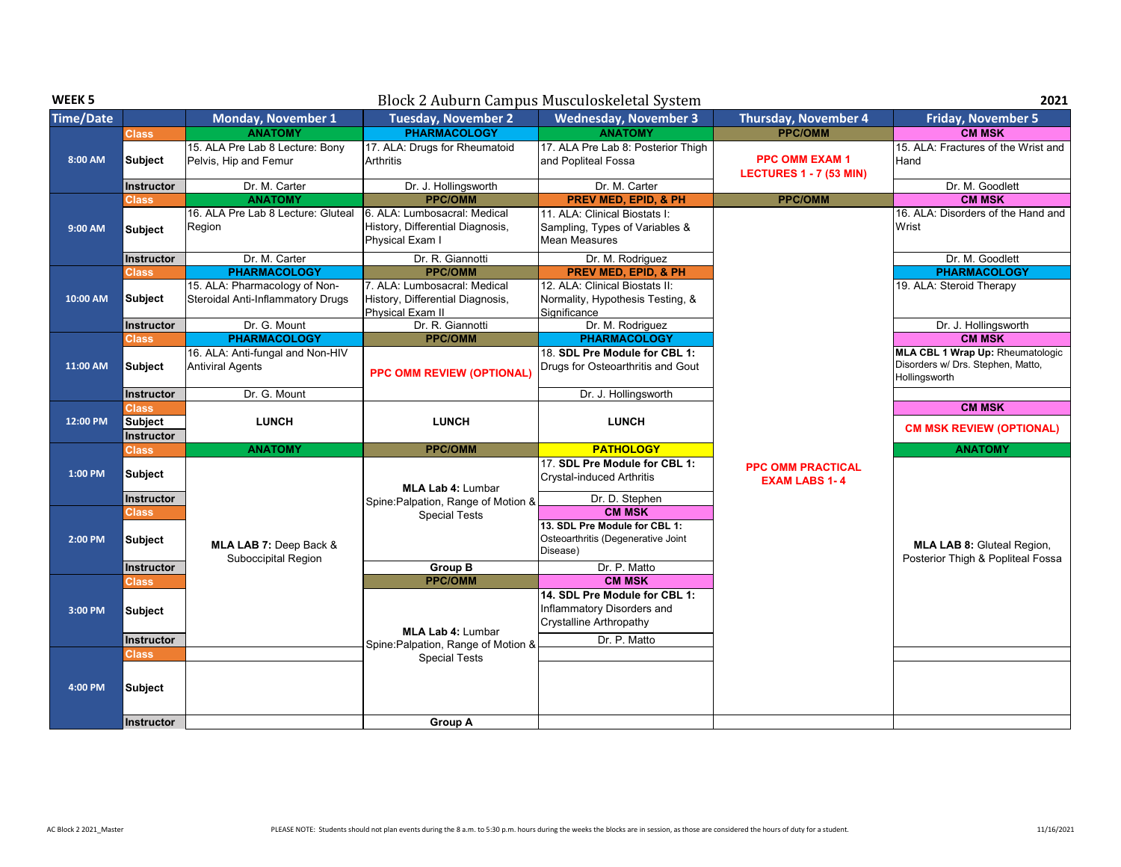| WEEK <sub>5</sub> |                                     |                                                                    |                                                                                      | Block 2 Auburn Campus Musculoskeletal System                                                  |                                                         | 2021                                                                                          |
|-------------------|-------------------------------------|--------------------------------------------------------------------|--------------------------------------------------------------------------------------|-----------------------------------------------------------------------------------------------|---------------------------------------------------------|-----------------------------------------------------------------------------------------------|
| <b>Time/Date</b>  |                                     | <b>Monday, November 1</b>                                          | <b>Tuesday, November 2</b>                                                           | <b>Wednesday, November 3</b>                                                                  | <b>Thursday, November 4</b>                             | <b>Friday, November 5</b>                                                                     |
|                   | <b>Class</b>                        | <b>ANATOMY</b>                                                     | <b>PHARMACOLOGY</b>                                                                  | <b>ANATOMY</b>                                                                                | <b>PPC/OMM</b>                                          | <b>CM MSK</b>                                                                                 |
| 8:00 AM           | <b>Subject</b>                      | 15. ALA Pre Lab 8 Lecture: Bony<br>Pelvis, Hip and Femur           | 17. ALA: Drugs for Rheumatoid<br>Arthritis                                           | 17. ALA Pre Lab 8: Posterior Thigh<br>and Popliteal Fossa                                     | <b>PPC OMM EXAM 1</b><br><b>LECTURES 1 - 7 (53 MIN)</b> | 15. ALA: Fractures of the Wrist and<br>Hand                                                   |
|                   | Instructor                          | Dr. M. Carter                                                      | Dr. J. Hollingsworth                                                                 | Dr. M. Carter                                                                                 |                                                         | Dr. M. Goodlett                                                                               |
|                   | <b>Class</b>                        | <b>ANATOMY</b>                                                     | <b>PPC/OMM</b>                                                                       | <b>PREV MED, EPID, &amp; PH</b>                                                               | <b>PPC/OMM</b>                                          | <b>CM MSK</b>                                                                                 |
| 9:00 AM           | <b>Subject</b>                      | 16. ALA Pre Lab 8 Lecture: Gluteal<br>Region                       | 6. ALA: Lumbosacral: Medical<br>History, Differential Diagnosis,<br>Physical Exam I  | 11. ALA: Clinical Biostats I:<br>Sampling, Types of Variables &<br><b>Mean Measures</b>       |                                                         | 16. ALA: Disorders of the Hand and<br>Wrist                                                   |
|                   | Instructor                          | Dr. M. Carter                                                      | Dr. R. Giannotti                                                                     | Dr. M. Rodriguez                                                                              |                                                         | Dr. M. Goodlett                                                                               |
|                   | <b>Class</b>                        | <b>PHARMACOLOGY</b>                                                | <b>PPC/OMM</b>                                                                       | PREV MED, EPID, & PH                                                                          |                                                         | <b>PHARMACOLOGY</b>                                                                           |
| 10:00 AM          | <b>Subject</b>                      | 15. ALA: Pharmacology of Non-<br>Steroidal Anti-Inflammatory Drugs | 7. ALA: Lumbosacral: Medical<br>History, Differential Diagnosis,<br>Physical Exam II | 12. ALA: Clinical Biostats II:<br>Normality, Hypothesis Testing, &<br>Significance            |                                                         | 19. ALA: Steroid Therapy                                                                      |
|                   | Instructor                          | Dr. G. Mount                                                       | Dr. R. Giannotti                                                                     | Dr. M. Rodriguez                                                                              |                                                         | Dr. J. Hollingsworth                                                                          |
|                   | Class                               | <b>PHARMACOLOGY</b>                                                | <b>PPC/OMM</b>                                                                       | <b>PHARMACOLOGY</b>                                                                           |                                                         | <b>CM MSK</b>                                                                                 |
| 11:00 AM          | <b>Subject</b>                      | 16. ALA: Anti-fungal and Non-HIV<br><b>Antiviral Agents</b>        | <b>PPC OMM REVIEW (OPTIONAL)</b>                                                     | 18. SDL Pre Module for CBL 1:<br>Drugs for Osteoarthritis and Gout                            |                                                         | <b>MLA CBL 1 Wrap Up: Rheumatologic</b><br>Disorders w/ Drs. Stephen, Matto,<br>Hollingsworth |
|                   | Instructor                          | Dr. G. Mount                                                       |                                                                                      | Dr. J. Hollingsworth                                                                          |                                                         |                                                                                               |
|                   | Class                               |                                                                    |                                                                                      |                                                                                               |                                                         | <b>CM MSK</b>                                                                                 |
| 12:00 PM          | <b>Subject</b><br>Instructor        | <b>LUNCH</b>                                                       | <b>LUNCH</b>                                                                         | <b>LUNCH</b>                                                                                  |                                                         | <b>CM MSK REVIEW (OPTIONAL)</b>                                                               |
|                   | <b>Class</b>                        | <b>ANATOMY</b>                                                     | <b>PPC/OMM</b>                                                                       | <b>PATHOLOGY</b>                                                                              |                                                         | <b>ANATOMY</b>                                                                                |
| 1:00 PM           | <b>Subject</b><br><b>Instructor</b> |                                                                    | <b>MLA Lab 4: Lumbar</b>                                                             | 17. SDL Pre Module for CBL 1:<br><b>Crystal-induced Arthritis</b><br>Dr. D. Stephen           | <b>PPC OMM PRACTICAL</b><br><b>EXAM LABS 1-4</b>        |                                                                                               |
|                   |                                     |                                                                    | Spine: Palpation, Range of Motion &                                                  | <b>CM MSK</b>                                                                                 |                                                         |                                                                                               |
| 2:00 PM           | <b>Class</b><br><b>Subject</b>      | MLA LAB 7: Deep Back &<br>Suboccipital Region                      | <b>Special Tests</b>                                                                 | 13. SDL Pre Module for CBL 1:<br>Osteoarthritis (Degenerative Joint<br>Disease)               |                                                         | <b>MLA LAB 8: Gluteal Region,</b><br>Posterior Thigh & Popliteal Fossa                        |
|                   | Instructor                          |                                                                    | <b>Group B</b>                                                                       | Dr. P. Matto                                                                                  |                                                         |                                                                                               |
|                   | <b>Class</b>                        |                                                                    | <b>PPC/OMM</b>                                                                       | <b>CM MSK</b>                                                                                 |                                                         |                                                                                               |
| 3:00 PM           | <b>Subject</b>                      |                                                                    | <b>MLA Lab 4: Lumbar</b>                                                             | 14. SDL Pre Module for CBL 1:<br>Inflammatory Disorders and<br><b>Crystalline Arthropathy</b> |                                                         |                                                                                               |
|                   | Instructor                          |                                                                    | Spine: Palpation, Range of Motion &                                                  | Dr. P. Matto                                                                                  |                                                         |                                                                                               |
|                   | <b>Class</b>                        |                                                                    | <b>Special Tests</b>                                                                 |                                                                                               |                                                         |                                                                                               |
| 4:00 PM           | <b>Subject</b>                      |                                                                    |                                                                                      |                                                                                               |                                                         |                                                                                               |
|                   | <b>Instructor</b>                   |                                                                    | <b>Group A</b>                                                                       |                                                                                               |                                                         |                                                                                               |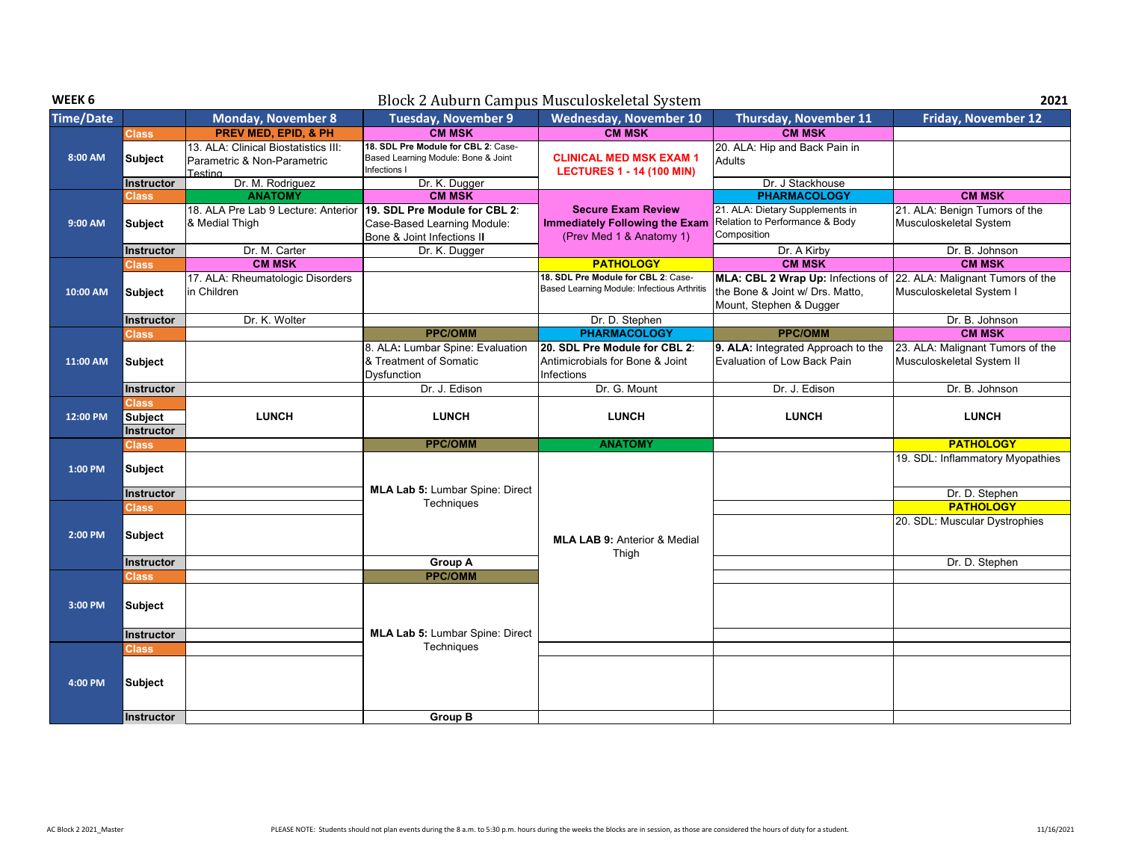| WEEK 6           |                                                     |                                                                                          |                                                                                                                              | Block 2 Auburn Campus Musculoskeletal System                                                   |                                                                                                                        | 2021                                                                                       |
|------------------|-----------------------------------------------------|------------------------------------------------------------------------------------------|------------------------------------------------------------------------------------------------------------------------------|------------------------------------------------------------------------------------------------|------------------------------------------------------------------------------------------------------------------------|--------------------------------------------------------------------------------------------|
| <b>Time/Date</b> |                                                     | <b>Monday, November 8</b>                                                                | <b>Tuesday, November 9</b>                                                                                                   | <b>Wednesday, November 10</b>                                                                  | <b>Thursday, November 11</b>                                                                                           | <b>Friday, November 12</b>                                                                 |
|                  | <b>Class</b>                                        | <b>PREV MED, EPID, &amp; PH</b>                                                          | <b>CM MSK</b>                                                                                                                | <b>CM MSK</b>                                                                                  | <b>CM MSK</b>                                                                                                          |                                                                                            |
| 8:00 AM          | <b>Subject</b>                                      | 13. ALA: Clinical Biostatistics III:<br>Parametric & Non-Parametric<br>Testina           | 18. SDL Pre Module for CBL 2: Case-<br>Based Learning Module: Bone & Joint<br>Infections I                                   | <b>CLINICAL MED MSK EXAM 1</b><br><b>LECTURES 1 - 14 (100 MIN)</b>                             | 20. ALA: Hip and Back Pain in<br>Adults                                                                                |                                                                                            |
|                  | Instructor                                          | Dr. M. Rodriguez                                                                         | Dr. K. Dugger                                                                                                                |                                                                                                | Dr. J Stackhouse                                                                                                       |                                                                                            |
| 9:00 AM          | <b>Class</b><br><b>Subject</b><br><b>Instructor</b> | <b>ANATOMY</b><br>18. ALA Pre Lab 9 Lecture: Anterior<br>& Medial Thigh<br>Dr. M. Carter | <b>CM MSK</b><br>19. SDL Pre Module for CBL 2:<br>Case-Based Learning Module:<br>Bone & Joint Infections II<br>Dr. K. Dugger | <b>Secure Exam Review</b><br><b>Immediately Following the Exam</b><br>(Prev Med 1 & Anatomy 1) | <b>PHARMACOLOGY</b><br>21. ALA: Dietary Supplements in<br>Relation to Performance & Body<br>Composition<br>Dr. A Kirby | <b>CM MSK</b><br>21. ALA: Benign Tumors of the<br>Musculoskeletal System<br>Dr. B. Johnson |
|                  | <b>Class</b>                                        | <b>CM MSK</b>                                                                            |                                                                                                                              | <b>PATHOLOGY</b>                                                                               | <b>CM MSK</b>                                                                                                          | <b>CM MSK</b>                                                                              |
| 10:00 AM         | <b>Subject</b>                                      | 17. ALA: Rheumatologic Disorders<br>in Children                                          |                                                                                                                              | 18. SDL Pre Module for CBL 2: Case-<br>Based Learning Module: Infectious Arthritis             | MLA: CBL 2 Wrap Up: Infections of<br>the Bone & Joint w/ Drs. Matto,<br>Mount, Stephen & Dugger                        | 22. ALA: Malignant Tumors of the<br>Musculoskeletal System I                               |
|                  | Instructor                                          | Dr. K. Wolter                                                                            |                                                                                                                              | Dr. D. Stephen                                                                                 |                                                                                                                        | Dr. B. Johnson                                                                             |
|                  | Class                                               |                                                                                          | <b>PPC/OMM</b>                                                                                                               | <b>PHARMACOLOGY</b>                                                                            | <b>PPC/OMM</b>                                                                                                         | <b>CM MSK</b>                                                                              |
| 11:00 AM         | Subject                                             |                                                                                          | 8. ALA: Lumbar Spine: Evaluation<br>& Treatment of Somatic<br><b>Dysfunction</b>                                             | 20. SDL Pre Module for CBL 2:<br>Antimicrobials for Bone & Joint<br>Infections                 | 9. ALA: Integrated Approach to the<br>Evaluation of Low Back Pain                                                      | 23. ALA: Malignant Tumors of the<br>Musculoskeletal System II                              |
|                  | Instructor                                          |                                                                                          | Dr. J. Edison                                                                                                                | Dr. G. Mount                                                                                   | Dr. J. Edison                                                                                                          | Dr. B. Johnson                                                                             |
| 12:00 PM         | Class<br><b>Subject</b><br>Instructor               | <b>LUNCH</b>                                                                             | <b>LUNCH</b>                                                                                                                 | <b>LUNCH</b>                                                                                   | <b>LUNCH</b>                                                                                                           | <b>LUNCH</b>                                                                               |
|                  | Class                                               |                                                                                          | <b>PPC/OMM</b>                                                                                                               | <b>ANATOMY</b>                                                                                 |                                                                                                                        | <b>PATHOLOGY</b>                                                                           |
| 1:00 PM          | <b>Subject</b>                                      |                                                                                          | <b>MLA Lab 5: Lumbar Spine: Direct</b>                                                                                       |                                                                                                |                                                                                                                        | 19. SDL: Inflammatory Myopathies                                                           |
|                  | Instructor                                          |                                                                                          | <b>Techniques</b>                                                                                                            |                                                                                                |                                                                                                                        | Dr. D. Stephen                                                                             |
| 2:00 PM          | <b>Class</b><br><b>Subject</b>                      |                                                                                          |                                                                                                                              | <b>MLA LAB 9: Anterior &amp; Medial</b><br>Thigh                                               |                                                                                                                        | <b>PATHOLOGY</b><br>20. SDL: Muscular Dystrophies                                          |
|                  | Instructor                                          |                                                                                          | <b>Group A</b>                                                                                                               |                                                                                                |                                                                                                                        | Dr. D. Stephen                                                                             |
| 3:00 PM          | <b>Class</b><br><b>Subject</b>                      |                                                                                          | <b>PPC/OMM</b>                                                                                                               |                                                                                                |                                                                                                                        |                                                                                            |
|                  |                                                     |                                                                                          | <b>MLA Lab 5: Lumbar Spine: Direct</b>                                                                                       |                                                                                                |                                                                                                                        |                                                                                            |
|                  | Instructor                                          |                                                                                          | Techniques                                                                                                                   |                                                                                                |                                                                                                                        |                                                                                            |
| 4:00 PM          | <b>Class</b><br><b>Subject</b><br>Instructor        |                                                                                          | <b>Group B</b>                                                                                                               |                                                                                                |                                                                                                                        |                                                                                            |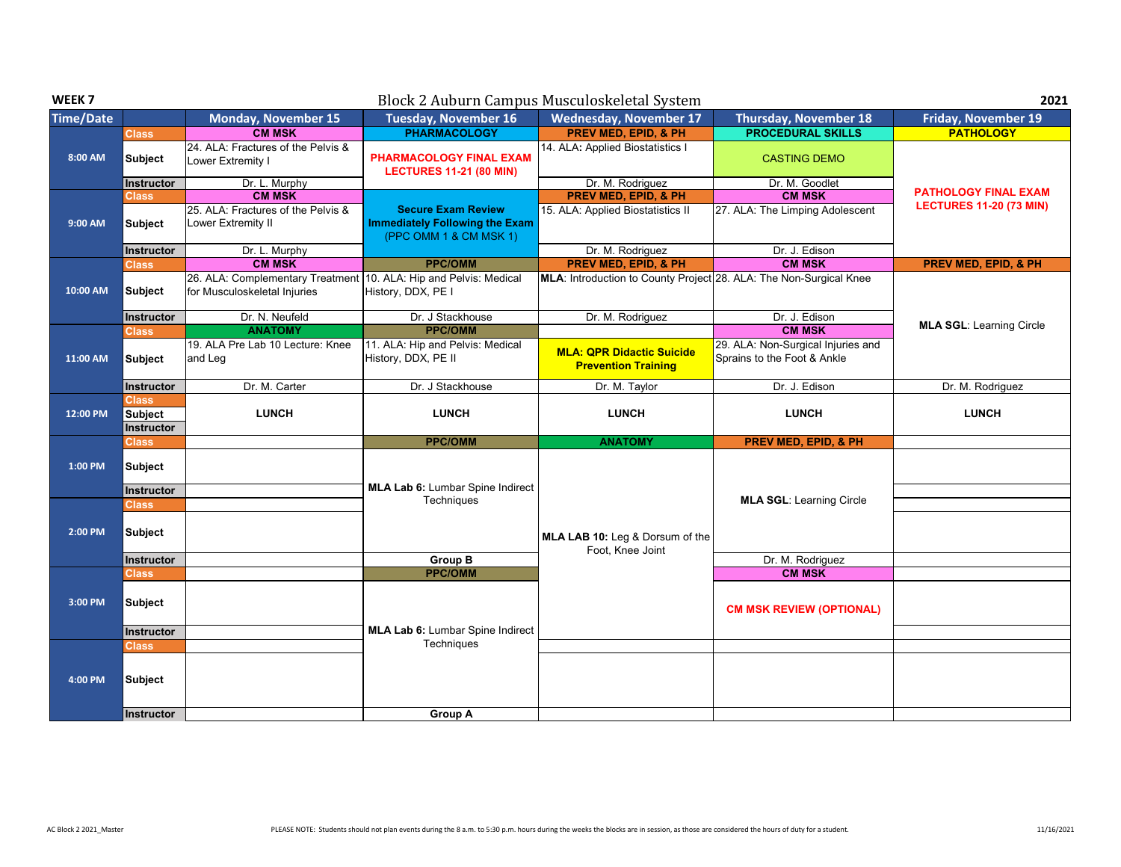| WEEK <sub>7</sub> |                              |                                                                                                   | Block 2 Auburn Campus Musculoskeletal System                                                 |                                                                    |                                                                   | 2021                            |
|-------------------|------------------------------|---------------------------------------------------------------------------------------------------|----------------------------------------------------------------------------------------------|--------------------------------------------------------------------|-------------------------------------------------------------------|---------------------------------|
| <b>Time/Date</b>  |                              | <b>Monday, November 15</b>                                                                        | <b>Tuesday, November 16</b>                                                                  | <b>Wednesday, November 17</b>                                      | <b>Thursday, November 18</b>                                      | <b>Friday, November 19</b>      |
|                   | <b>Class</b>                 | <b>CM MSK</b>                                                                                     | <b>PHARMACOLOGY</b>                                                                          | <b>PREV MED. EPID. &amp; PH</b>                                    | <b>PROCEDURAL SKILLS</b>                                          | <b>PATHOLOGY</b>                |
| 8:00 AM           | <b>Subject</b>               | 24. ALA: Fractures of the Pelvis &<br>Lower Extremity I                                           | <b>PHARMACOLOGY FINAL EXAM</b><br><b>LECTURES 11-21 (80 MIN)</b>                             | 14. ALA: Applied Biostatistics I                                   | <b>CASTING DEMO</b>                                               |                                 |
|                   | Instructor                   | Dr. L. Murphy                                                                                     |                                                                                              | Dr. M. Rodriguez                                                   | Dr. M. Goodlet                                                    |                                 |
|                   | <b>Class</b>                 | <b>CM MSK</b>                                                                                     |                                                                                              | <b>PREV MED, EPID, &amp; PH</b>                                    | <b>CM MSK</b>                                                     | <b>PATHOLOGY FINAL EXAM</b>     |
| 9:00 AM           | <b>Subject</b>               | 25. ALA: Fractures of the Pelvis &<br>Lower Extremity II                                          | <b>Secure Exam Review</b><br><b>Immediately Following the Exam</b><br>(PPC OMM 1 & CM MSK 1) | 15. ALA: Applied Biostatistics II                                  | 27. ALA: The Limping Adolescent                                   | <b>LECTURES 11-20 (73 MIN)</b>  |
|                   | Instructor                   | Dr. L. Murphy                                                                                     |                                                                                              | Dr. M. Rodriguez                                                   | Dr. J. Edison                                                     |                                 |
|                   | <b>Class</b>                 | <b>CM MSK</b>                                                                                     | <b>PPC/OMM</b>                                                                               | <b>PREV MED, EPID, &amp; PH</b>                                    | <b>CM MSK</b>                                                     | <b>PREV MED, EPID, &amp; PH</b> |
| 10:00 AM          | <b>Subject</b>               | 26. ALA: Complementary Treatment 10. ALA: Hip and Pelvis: Medical<br>for Musculoskeletal Injuries | History, DDX, PE I                                                                           | MLA: Introduction to County Project 28. ALA: The Non-Surgical Knee |                                                                   |                                 |
|                   | <b>Instructor</b>            | Dr. N. Neufeld                                                                                    | Dr. J Stackhouse                                                                             | Dr. M. Rodriguez                                                   | Dr. J. Edison                                                     |                                 |
|                   | <b>Class</b>                 | <b>ANATOMY</b>                                                                                    | <b>PPC/OMM</b>                                                                               |                                                                    | <b>CM MSK</b>                                                     | <b>MLA SGL: Learning Circle</b> |
| 11:00 AM          | <b>Subject</b>               | 19. ALA Pre Lab 10 Lecture: Knee<br>and Leg                                                       | 11. ALA: Hip and Pelvis: Medical<br>History, DDX, PE II                                      | <b>MLA: QPR Didactic Suicide</b><br><b>Prevention Training</b>     | 29. ALA: Non-Surgical Injuries and<br>Sprains to the Foot & Ankle |                                 |
|                   | Instructor                   | Dr. M. Carter                                                                                     | Dr. J Stackhouse                                                                             | Dr. M. Taylor                                                      | Dr. J. Edison                                                     | Dr. M. Rodriguez                |
| 12:00 PM          | <b>Class</b>                 |                                                                                                   | <b>LUNCH</b>                                                                                 |                                                                    |                                                                   |                                 |
|                   | <b>Subject</b><br>Instructor | <b>LUNCH</b>                                                                                      |                                                                                              | <b>LUNCH</b>                                                       | <b>LUNCH</b>                                                      | <b>LUNCH</b>                    |
|                   | Class                        |                                                                                                   | <b>PPC/OMM</b>                                                                               | <b>ANATOMY</b>                                                     | <b>PREV MED, EPID, &amp; PH</b>                                   |                                 |
| 1:00 PM           | <b>Subject</b>               |                                                                                                   | <b>MLA Lab 6:</b> Lumbar Spine Indirect                                                      |                                                                    |                                                                   |                                 |
|                   | Instructor                   |                                                                                                   | Techniques                                                                                   |                                                                    | <b>MLA SGL: Learning Circle</b>                                   |                                 |
| 2:00 PM           | Class<br><b>Subject</b>      |                                                                                                   |                                                                                              | MLA LAB 10: Leg & Dorsum of the<br>Foot. Knee Joint                |                                                                   |                                 |
|                   | Instructor                   |                                                                                                   | <b>Group B</b>                                                                               |                                                                    | Dr. M. Rodriguez                                                  |                                 |
|                   | <b>Class</b>                 |                                                                                                   | <b>PPC/OMM</b>                                                                               |                                                                    | <b>CM MSK</b>                                                     |                                 |
| 3:00 PM           | <b>Subject</b>               |                                                                                                   |                                                                                              |                                                                    | <b>CM MSK REVIEW (OPTIONAL)</b>                                   |                                 |
|                   | <b>Instructor</b>            |                                                                                                   | <b>MLA Lab 6:</b> Lumbar Spine Indirect                                                      |                                                                    |                                                                   |                                 |
|                   | <b>Class</b>                 |                                                                                                   | Techniques                                                                                   |                                                                    |                                                                   |                                 |
| 4:00 PM           | Subject                      |                                                                                                   |                                                                                              |                                                                    |                                                                   |                                 |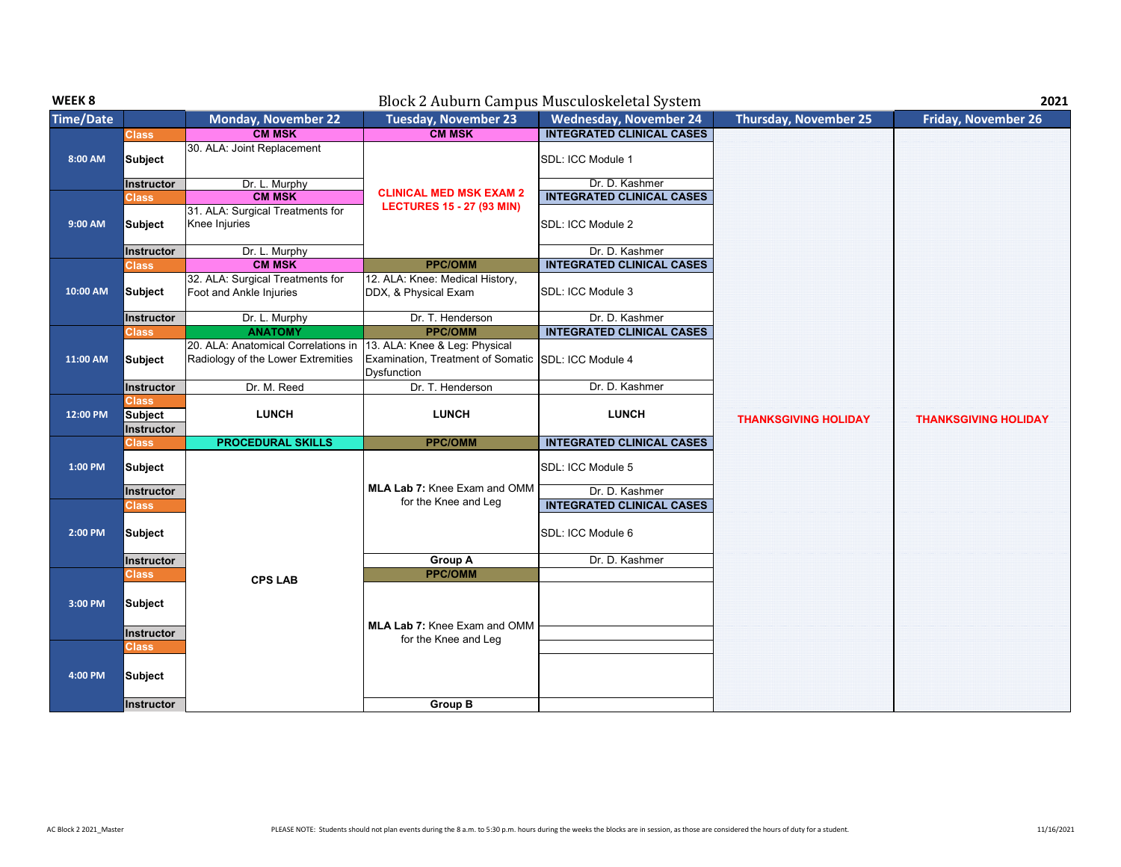| WEEK 8           |                                              |                                                                           |                                                                                                     | Block 2 Auburn Campus Musculoskeletal System |                              | 2021                        |
|------------------|----------------------------------------------|---------------------------------------------------------------------------|-----------------------------------------------------------------------------------------------------|----------------------------------------------|------------------------------|-----------------------------|
| <b>Time/Date</b> |                                              | <b>Monday, November 22</b>                                                | <b>Tuesday, November 23</b>                                                                         | <b>Wednesday, November 24</b>                | <b>Thursday, November 25</b> | <b>Friday, November 26</b>  |
|                  | <b>Class</b>                                 | <b>CM MSK</b>                                                             | <b>CM MSK</b>                                                                                       | <b>INTEGRATED CLINICAL CASES</b>             |                              |                             |
| 8:00 AM          | Subject                                      | 30. ALA: Joint Replacement                                                |                                                                                                     | SDL: ICC Module 1                            |                              |                             |
|                  | <b>Instructor</b>                            | Dr. L. Murphy                                                             |                                                                                                     | Dr. D. Kashmer                               |                              |                             |
|                  | <b>Class</b>                                 | <b>CM MSK</b>                                                             | <b>CLINICAL MED MSK EXAM 2</b>                                                                      | <b>INTEGRATED CLINICAL CASES</b>             |                              |                             |
| 9:00 AM          | Subject                                      | 31. ALA: Surgical Treatments for<br>Knee Injuries                         | <b>LECTURES 15 - 27 (93 MIN)</b>                                                                    | SDL: ICC Module 2                            |                              |                             |
|                  | Instructor                                   | Dr. L. Murphy                                                             |                                                                                                     | Dr. D. Kashmer                               |                              |                             |
|                  | <b>Class</b>                                 | <b>CM MSK</b>                                                             | <b>PPC/OMM</b>                                                                                      | <b>INTEGRATED CLINICAL CASES</b>             |                              |                             |
| 10:00 AM         | Subject                                      | 32. ALA: Surgical Treatments for<br>Foot and Ankle Injuries               | 12. ALA: Knee: Medical History,<br>DDX, & Physical Exam                                             | SDL: ICC Module 3                            |                              |                             |
|                  | Instructor                                   | Dr. L. Murphy                                                             | Dr. T. Henderson                                                                                    | Dr. D. Kashmer                               |                              |                             |
|                  | <b>Class</b>                                 | <b>ANATOMY</b>                                                            | <b>PPC/OMM</b>                                                                                      | <b>INTEGRATED CLINICAL CASES</b>             |                              |                             |
| 11:00 AM         | Subject                                      | 20. ALA: Anatomical Correlations in<br>Radiology of the Lower Extremities | 13. ALA: Knee & Leg: Physical<br>Examination, Treatment of Somatic SDL: ICC Module 4<br>Dysfunction |                                              |                              |                             |
|                  | Instructor                                   | Dr. M. Reed                                                               | Dr. T. Henderson                                                                                    | Dr. D. Kashmer                               |                              |                             |
| 12:00 PM         | <b>Class</b><br>Subject<br><b>Instructor</b> | <b>LUNCH</b>                                                              | <b>LUNCH</b>                                                                                        | <b>LUNCH</b>                                 | <b>THANKSGIVING HOLIDAY</b>  | <b>THANKSGIVING HOLIDAY</b> |
|                  | <b>Class</b>                                 | <b>PROCEDURAL SKILLS</b>                                                  | <b>PPC/OMM</b>                                                                                      | <b>INTEGRATED CLINICAL CASES</b>             |                              |                             |
| 1:00 PM          | Subject<br><b>Instructor</b>                 |                                                                           | <b>MLA Lab 7: Knee Exam and OMM</b>                                                                 | SDL: ICC Module 5<br>Dr. D. Kashmer          |                              |                             |
|                  | <b>Class</b>                                 |                                                                           | for the Knee and Leg                                                                                | <b>INTEGRATED CLINICAL CASES</b>             |                              |                             |
| 2:00 PM          | Subject                                      |                                                                           |                                                                                                     | SDL: ICC Module 6                            |                              |                             |
|                  | Instructor                                   |                                                                           | Group A                                                                                             | Dr. D. Kashmer                               |                              |                             |
| 3:00 PM          | Class<br>Subject                             | <b>CPS LAB</b>                                                            | <b>PPC/OMM</b><br><b>MLA Lab 7: Knee Exam and OMM</b>                                               |                                              |                              |                             |
|                  | Instructor                                   |                                                                           | for the Knee and Leg                                                                                |                                              |                              |                             |
| 4:00 PM          | <b>Class</b><br>Subject<br><b>Instructor</b> |                                                                           | <b>Group B</b>                                                                                      |                                              |                              |                             |
|                  |                                              |                                                                           |                                                                                                     |                                              |                              |                             |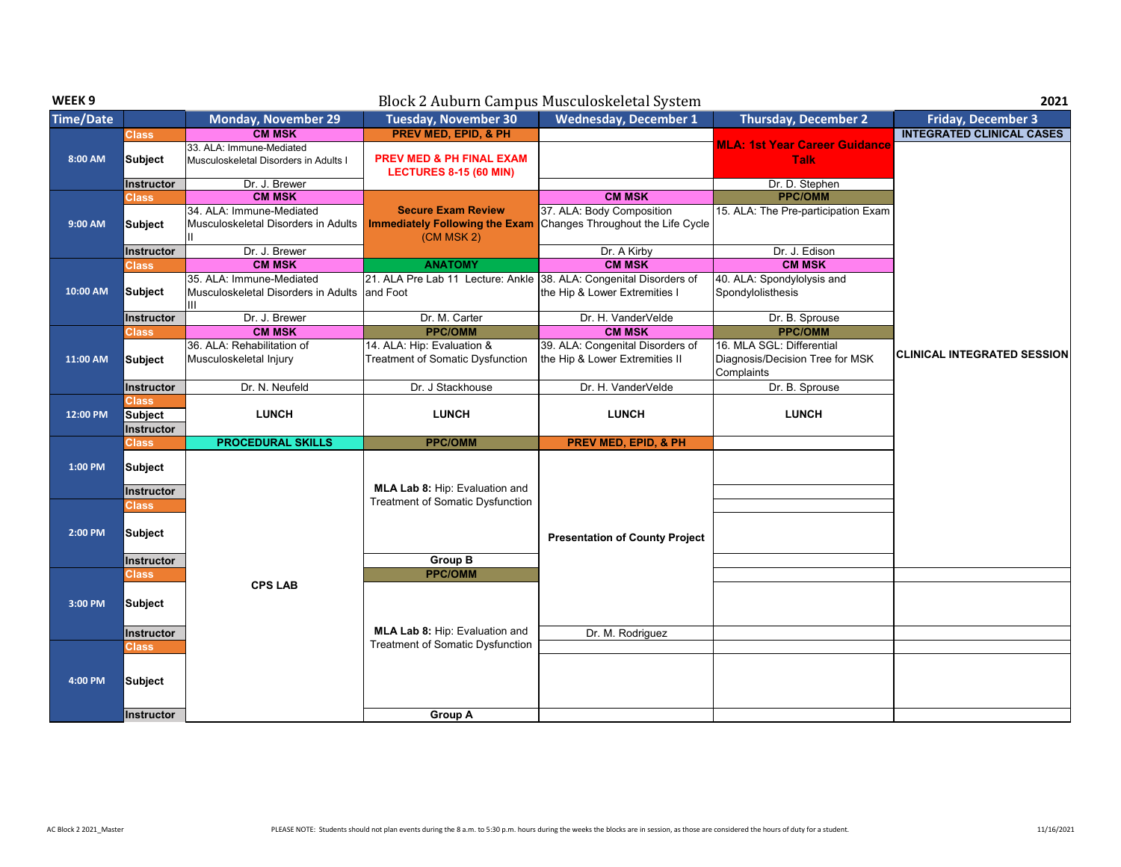| WEEK <sub>9</sub> |                                              |                                                                      |                                                                                  | Block 2 Auburn Campus Musculoskeletal System                       |                                                                            | 2021                               |
|-------------------|----------------------------------------------|----------------------------------------------------------------------|----------------------------------------------------------------------------------|--------------------------------------------------------------------|----------------------------------------------------------------------------|------------------------------------|
| <b>Time/Date</b>  |                                              | <b>Monday, November 29</b>                                           | <b>Tuesday, November 30</b>                                                      | <b>Wednesday, December 1</b>                                       | <b>Thursday, December 2</b>                                                | <b>Friday, December 3</b>          |
|                   | <b>Class</b>                                 | <b>CM MSK</b>                                                        | <b>PREV MED, EPID, &amp; PH</b>                                                  |                                                                    |                                                                            | <b>INTEGRATED CLINICAL CASES</b>   |
| 8:00 AM           | Subject                                      | 33. ALA: Immune-Mediated<br>Musculoskeletal Disorders in Adults I    | <b>PREV MED &amp; PH FINAL EXAM</b><br><b>LECTURES 8-15 (60 MIN)</b>             |                                                                    | <b>MLA: 1st Year Career Guidance</b><br><b>Talk</b>                        |                                    |
|                   | <b>Instructor</b>                            | Dr. J. Brewer                                                        |                                                                                  |                                                                    | Dr. D. Stephen                                                             |                                    |
|                   | <b>Class</b>                                 | <b>CM MSK</b>                                                        |                                                                                  | <b>CM MSK</b>                                                      | <b>PPC/OMM</b>                                                             |                                    |
| 9:00 AM           | <b>Subject</b>                               | 34. ALA: Immune-Mediated<br>Musculoskeletal Disorders in Adults      | <b>Secure Exam Review</b><br><b>Immediately Following the Exam</b><br>(CM MSK 2) | 37. ALA: Body Composition<br>Changes Throughout the Life Cycle     | 15. ALA: The Pre-participation Exam                                        |                                    |
|                   | Instructor                                   | Dr. J. Brewer                                                        |                                                                                  | Dr. A Kirby                                                        | Dr. J. Edison                                                              |                                    |
|                   | <b>Class</b>                                 | <b>CM MSK</b>                                                        | <b>ANATOMY</b>                                                                   | <b>CM MSK</b>                                                      | <b>CM MSK</b>                                                              |                                    |
| 10:00 AM          | Subject                                      | 35. ALA: Immune-Mediated<br>Musculoskeletal Disorders in Adults<br>Ш | 21. ALA Pre Lab 11 Lecture: Ankle 38. ALA: Congenital Disorders of<br>and Foot   | the Hip & Lower Extremities I                                      | 40. ALA: Spondylolysis and<br>Spondylolisthesis                            |                                    |
|                   | <b>Instructor</b>                            | Dr. J. Brewer                                                        | Dr. M. Carter                                                                    | Dr. H. VanderVelde                                                 | Dr. B. Sprouse                                                             |                                    |
|                   | <b>Class</b>                                 | <b>CM MSK</b>                                                        | <b>PPC/OMM</b>                                                                   | <b>CM MSK</b>                                                      | <b>PPC/OMM</b>                                                             |                                    |
| 11:00 AM          | Subject                                      | 36. ALA: Rehabilitation of<br>Musculoskeletal Injury                 | 14. ALA: Hip: Evaluation &<br><b>Treatment of Somatic Dysfunction</b>            | 39. ALA: Congenital Disorders of<br>the Hip & Lower Extremities II | 16. MLA SGL: Differential<br>Diagnosis/Decision Tree for MSK<br>Complaints | <b>CLINICAL INTEGRATED SESSION</b> |
|                   | <b>Instructor</b>                            | Dr. N. Neufeld                                                       | Dr. J Stackhouse                                                                 | Dr. H. VanderVelde                                                 | Dr. B. Sprouse                                                             |                                    |
| 12:00 PM          | <b>Class</b><br><b>Subject</b><br>Instructor | <b>LUNCH</b>                                                         | <b>LUNCH</b>                                                                     | <b>LUNCH</b>                                                       | <b>LUNCH</b>                                                               |                                    |
|                   | <b>Class</b>                                 | <b>PROCEDURAL SKILLS</b>                                             | <b>PPC/OMM</b>                                                                   | PREV MED, EPID, & PH                                               |                                                                            |                                    |
| 1:00 PM           | <b>Subject</b><br>Instructor                 |                                                                      | MLA Lab 8: Hip: Evaluation and                                                   |                                                                    |                                                                            |                                    |
|                   | <b>Class</b>                                 |                                                                      | Treatment of Somatic Dysfunction                                                 |                                                                    |                                                                            |                                    |
| 2:00 PM           | Subject<br>Instructor                        |                                                                      | <b>Group B</b>                                                                   | <b>Presentation of County Project</b>                              |                                                                            |                                    |
|                   | <b>Class</b>                                 |                                                                      | <b>PPC/OMM</b>                                                                   |                                                                    |                                                                            |                                    |
| 3:00 PM           | <b>Subject</b>                               | <b>CPS LAB</b>                                                       |                                                                                  |                                                                    |                                                                            |                                    |
|                   | Instructor                                   |                                                                      | MLA Lab 8: Hip: Evaluation and                                                   | Dr. M. Rodriguez                                                   |                                                                            |                                    |
|                   | <b>Class</b>                                 |                                                                      | <b>Treatment of Somatic Dysfunction</b>                                          |                                                                    |                                                                            |                                    |
| 4:00 PM           | Subject                                      |                                                                      |                                                                                  |                                                                    |                                                                            |                                    |
|                   | Instructor                                   |                                                                      | Group A                                                                          |                                                                    |                                                                            |                                    |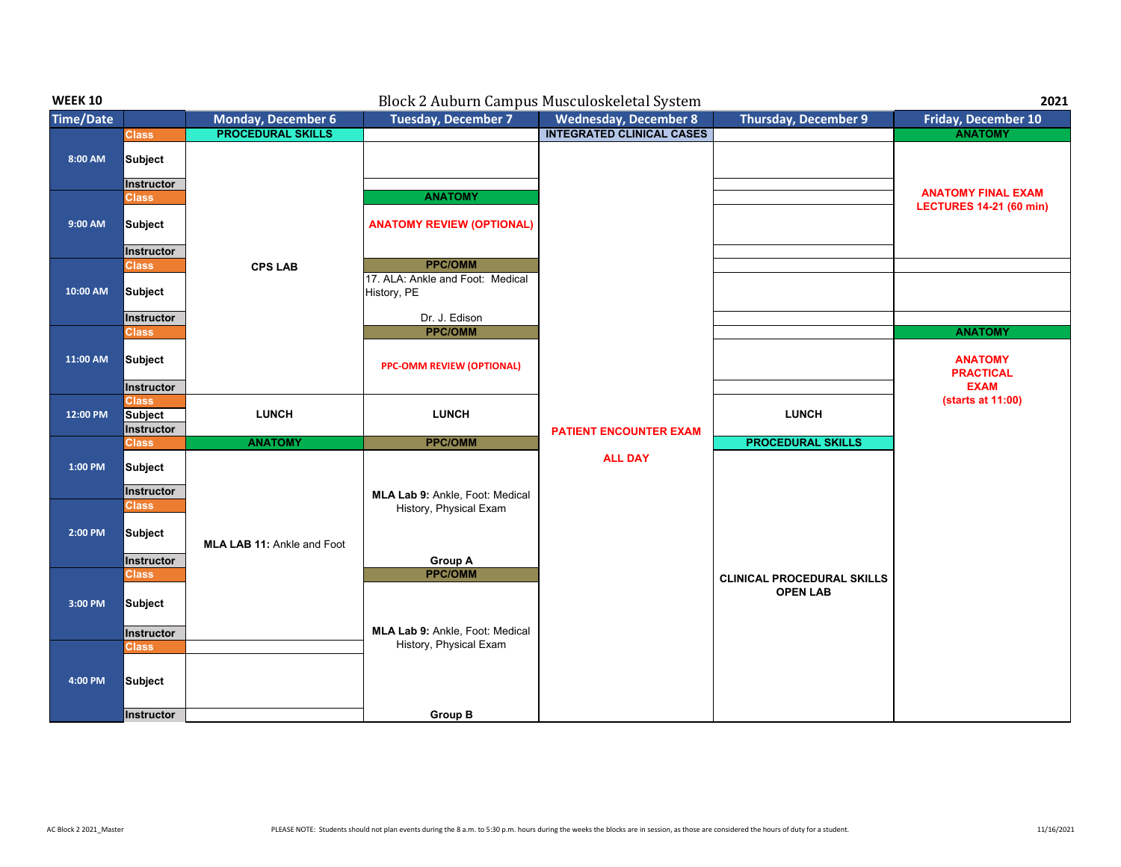| <b>WEEK 10</b>   | Block 2 Auburn Campus Musculoskeletal System<br>2021 |                                   |                                                                   |                                  |                                                      |                                                      |  |
|------------------|------------------------------------------------------|-----------------------------------|-------------------------------------------------------------------|----------------------------------|------------------------------------------------------|------------------------------------------------------|--|
| <b>Time/Date</b> |                                                      | <b>Monday, December 6</b>         | Tuesday, December 7                                               | <b>Wednesday, December 8</b>     | <b>Thursday, December 9</b>                          | Friday, December 10                                  |  |
|                  | <b>Class</b>                                         | <b>PROCEDURAL SKILLS</b>          |                                                                   | <b>INTEGRATED CLINICAL CASES</b> |                                                      | <b>ANATOMY</b>                                       |  |
| 8:00 AM          | Subject<br>Instructor                                |                                   |                                                                   |                                  |                                                      |                                                      |  |
|                  | <b>Class</b>                                         |                                   | <b>ANATOMY</b>                                                    |                                  |                                                      | <b>ANATOMY FINAL EXAM</b>                            |  |
| 9:00 AM          | Subject                                              |                                   | <b>ANATOMY REVIEW (OPTIONAL)</b>                                  |                                  |                                                      | <b>LECTURES 14-21 (60 min)</b>                       |  |
|                  | Instructor                                           |                                   |                                                                   |                                  |                                                      |                                                      |  |
| 10:00 AM         | <b>Class</b><br>Subject                              | <b>CPS LAB</b>                    | <b>PPC/OMM</b><br>17. ALA: Ankle and Foot: Medical<br>History, PE |                                  |                                                      |                                                      |  |
|                  | Instructor                                           |                                   | Dr. J. Edison                                                     |                                  |                                                      |                                                      |  |
| 11:00 AM         | <b>Class</b><br>Subject                              |                                   | <b>PPC/OMM</b><br><b>PPC-OMM REVIEW (OPTIONAL)</b>                |                                  |                                                      | <b>ANATOMY</b><br><b>ANATOMY</b><br><b>PRACTICAL</b> |  |
|                  | Instructor<br><b>Class</b>                           |                                   |                                                                   |                                  |                                                      | <b>EXAM</b><br>(starts at 11:00)                     |  |
| 12:00 PM         | Subject<br>Instructor                                | <b>LUNCH</b>                      | <b>LUNCH</b>                                                      | <b>PATIENT ENCOUNTER EXAM</b>    | <b>LUNCH</b>                                         |                                                      |  |
|                  | <b>Class</b>                                         | <b>ANATOMY</b>                    | <b>PPC/OMM</b>                                                    |                                  | <b>PROCEDURAL SKILLS</b>                             |                                                      |  |
| 1:00 PM          | <b>Subject</b><br>Instructor                         |                                   | MLA Lab 9: Ankle, Foot: Medical                                   | <b>ALL DAY</b>                   |                                                      |                                                      |  |
|                  | <b>Class</b>                                         |                                   | History, Physical Exam                                            |                                  |                                                      |                                                      |  |
| 2:00 PM          | Subject                                              | <b>MLA LAB 11: Ankle and Foot</b> |                                                                   |                                  |                                                      |                                                      |  |
|                  | Instructor<br><b>Class</b>                           |                                   | <b>Group A</b><br><b>PPC/OMM</b>                                  |                                  |                                                      |                                                      |  |
| 3:00 PM          | Subject                                              |                                   |                                                                   |                                  | <b>CLINICAL PROCEDURAL SKILLS</b><br><b>OPEN LAB</b> |                                                      |  |
|                  | Instructor                                           |                                   | MLA Lab 9: Ankle, Foot: Medical<br>History, Physical Exam         |                                  |                                                      |                                                      |  |
| 4:00 PM          | <b>Class</b><br>Subject<br>Instructor                |                                   | <b>Group B</b>                                                    |                                  |                                                      |                                                      |  |
|                  |                                                      |                                   |                                                                   |                                  |                                                      |                                                      |  |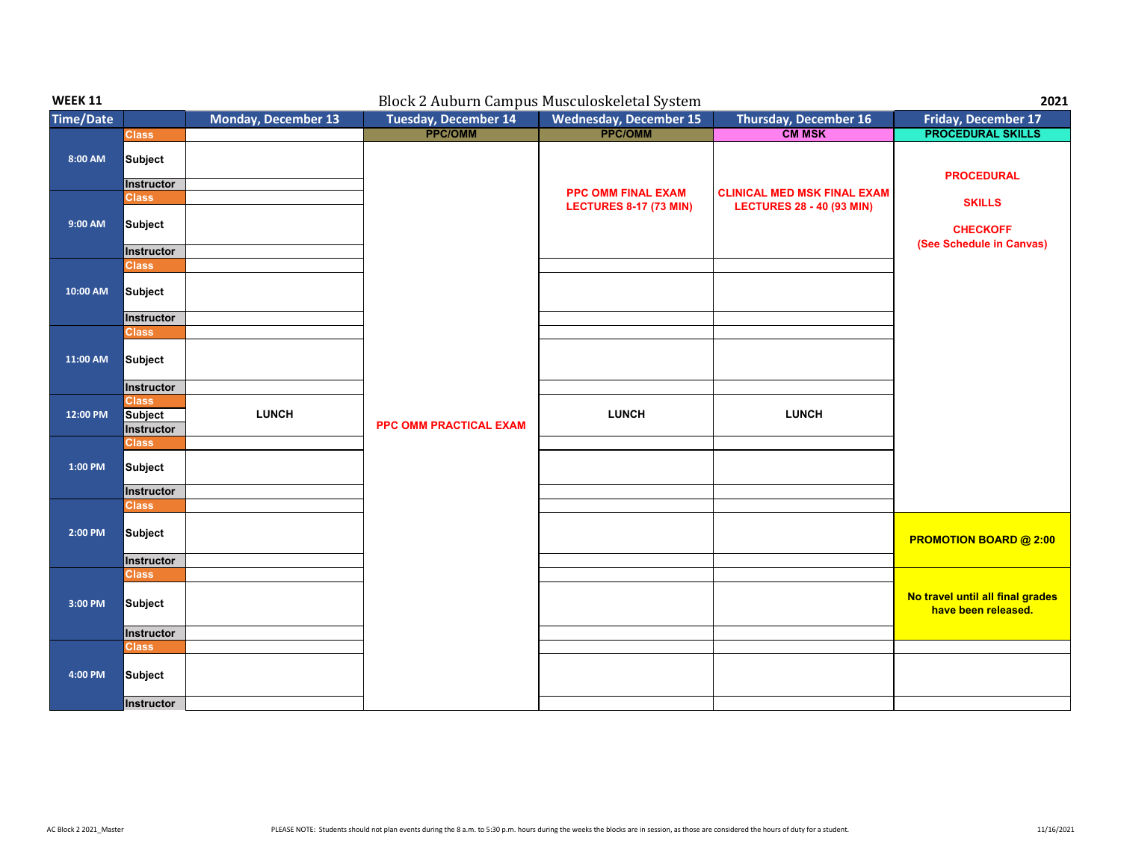| <b>WEEK 11</b>   | Block 2 Auburn Campus Musculoskeletal System |                            |                             |                               |                                    | 2021                                                    |
|------------------|----------------------------------------------|----------------------------|-----------------------------|-------------------------------|------------------------------------|---------------------------------------------------------|
| <b>Time/Date</b> |                                              | <b>Monday, December 13</b> | <b>Tuesday, December 14</b> | <b>Wednesday, December 15</b> | <b>Thursday, December 16</b>       | <b>Friday, December 17</b>                              |
|                  | <b>Class</b>                                 |                            | <b>PPC/OMM</b>              | <b>PPC/OMM</b>                | <b>CM MSK</b>                      | <b>PROCEDURAL SKILLS</b>                                |
| 8:00 AM          | Subject                                      |                            |                             |                               |                                    | <b>PROCEDURAL</b>                                       |
|                  | Instructor                                   |                            |                             | <b>PPC OMM FINAL EXAM</b>     | <b>CLINICAL MED MSK FINAL EXAM</b> |                                                         |
|                  | <b>Class</b>                                 |                            |                             | <b>LECTURES 8-17 (73 MIN)</b> | <b>LECTURES 28 - 40 (93 MIN)</b>   | <b>SKILLS</b>                                           |
| 9:00 AM          | Subject                                      |                            |                             |                               |                                    | <b>CHECKOFF</b>                                         |
|                  |                                              |                            |                             |                               |                                    | (See Schedule in Canvas)                                |
|                  | Instructor<br><b>Class</b>                   |                            |                             |                               |                                    |                                                         |
| 10:00 AM         | Subject                                      |                            |                             |                               |                                    |                                                         |
|                  | Instructor                                   |                            |                             |                               |                                    |                                                         |
|                  | <b>Class</b>                                 |                            |                             |                               |                                    |                                                         |
| 11:00 AM         | Subject                                      |                            |                             |                               |                                    |                                                         |
|                  | Instructor                                   |                            |                             |                               |                                    |                                                         |
|                  | <b>Class</b>                                 |                            | PPC OMM PRACTICAL EXAM      |                               |                                    |                                                         |
| 12:00 PM         | Subject                                      | <b>LUNCH</b>               |                             | <b>LUNCH</b>                  | <b>LUNCH</b>                       |                                                         |
|                  | Instructor<br><b>Class</b>                   |                            |                             |                               |                                    |                                                         |
| 1:00 PM          | Subject                                      |                            |                             |                               |                                    |                                                         |
|                  | Instructor                                   |                            |                             |                               |                                    |                                                         |
|                  | <b>Class</b>                                 |                            |                             |                               |                                    |                                                         |
| 2:00 PM          | Subject                                      |                            |                             |                               |                                    | <b>PROMOTION BOARD @ 2:00</b>                           |
|                  | Instructor                                   |                            |                             |                               |                                    |                                                         |
|                  | <b>Class</b>                                 |                            |                             |                               |                                    |                                                         |
| 3:00 PM          | Subject                                      |                            |                             |                               |                                    | No travel until all final grades<br>have been released. |
|                  | Instructor                                   |                            |                             |                               |                                    |                                                         |
|                  | <b>Class</b>                                 |                            |                             |                               |                                    |                                                         |
| 4:00 PM          | Subject                                      |                            |                             |                               |                                    |                                                         |
|                  | Instructor                                   |                            |                             |                               |                                    |                                                         |